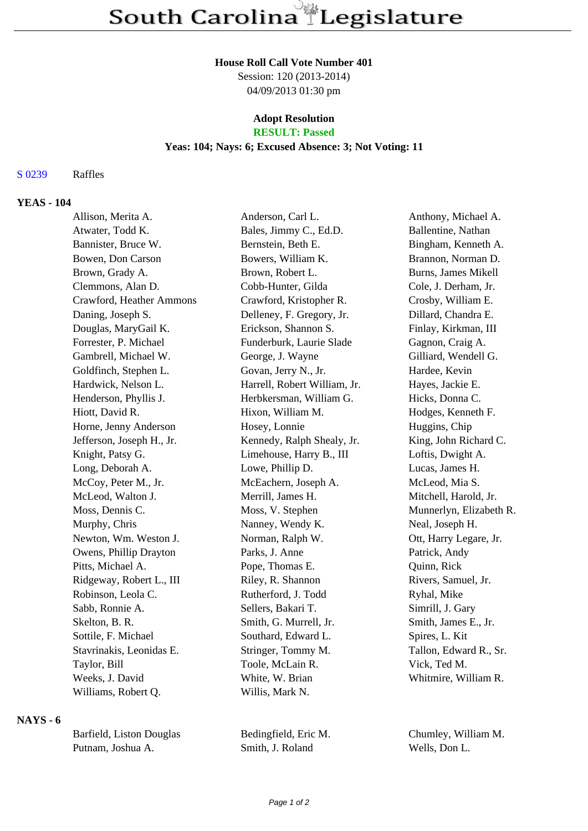#### **House Roll Call Vote Number 401**

Session: 120 (2013-2014) 04/09/2013 01:30 pm

# **Adopt Resolution**

## **RESULT: Passed**

#### **Yeas: 104; Nays: 6; Excused Absence: 3; Not Voting: 11**

#### S 0239 Raffles

#### **YEAS - 104**

| Allison, Merita A.        | Anderson, Carl L.            | Anthony, Michael A.     |
|---------------------------|------------------------------|-------------------------|
| Atwater, Todd K.          | Bales, Jimmy C., Ed.D.       | Ballentine, Nathan      |
| Bannister, Bruce W.       | Bernstein, Beth E.           | Bingham, Kenneth A.     |
| Bowen, Don Carson         | Bowers, William K.           | Brannon, Norman D.      |
| Brown, Grady A.           | Brown, Robert L.             | Burns, James Mikell     |
| Clemmons, Alan D.         | Cobb-Hunter, Gilda           | Cole, J. Derham, Jr.    |
| Crawford, Heather Ammons  | Crawford, Kristopher R.      | Crosby, William E.      |
| Daning, Joseph S.         | Delleney, F. Gregory, Jr.    | Dillard, Chandra E.     |
| Douglas, MaryGail K.      | Erickson, Shannon S.         | Finlay, Kirkman, III    |
| Forrester, P. Michael     | Funderburk, Laurie Slade     | Gagnon, Craig A.        |
| Gambrell, Michael W.      | George, J. Wayne             | Gilliard, Wendell G.    |
| Goldfinch, Stephen L.     | Govan, Jerry N., Jr.         | Hardee, Kevin           |
| Hardwick, Nelson L.       | Harrell, Robert William, Jr. | Hayes, Jackie E.        |
| Henderson, Phyllis J.     | Herbkersman, William G.      | Hicks, Donna C.         |
| Hiott, David R.           | Hixon, William M.            | Hodges, Kenneth F.      |
| Horne, Jenny Anderson     | Hosey, Lonnie                | Huggins, Chip           |
| Jefferson, Joseph H., Jr. | Kennedy, Ralph Shealy, Jr.   | King, John Richard C.   |
| Knight, Patsy G.          | Limehouse, Harry B., III     | Loftis, Dwight A.       |
| Long, Deborah A.          | Lowe, Phillip D.             | Lucas, James H.         |
| McCoy, Peter M., Jr.      | McEachern, Joseph A.         | McLeod, Mia S.          |
| McLeod, Walton J.         | Merrill, James H.            | Mitchell, Harold, Jr.   |
| Moss, Dennis C.           | Moss, V. Stephen             | Munnerlyn, Elizabeth R. |
| Murphy, Chris             | Nanney, Wendy K.             | Neal, Joseph H.         |
| Newton, Wm. Weston J.     | Norman, Ralph W.             | Ott, Harry Legare, Jr.  |
| Owens, Phillip Drayton    | Parks, J. Anne               | Patrick, Andy           |
| Pitts, Michael A.         | Pope, Thomas E.              | Quinn, Rick             |
| Ridgeway, Robert L., III  | Riley, R. Shannon            | Rivers, Samuel, Jr.     |
| Robinson, Leola C.        | Rutherford, J. Todd          | Ryhal, Mike             |
| Sabb, Ronnie A.           | Sellers, Bakari T.           | Simrill, J. Gary        |
| Skelton, B. R.            | Smith, G. Murrell, Jr.       | Smith, James E., Jr.    |
| Sottile, F. Michael       | Southard, Edward L.          | Spires, L. Kit          |
| Stavrinakis, Leonidas E.  | Stringer, Tommy M.           | Tallon, Edward R., Sr.  |
| Taylor, Bill              | Toole, McLain R.             | Vick, Ted M.            |
| Weeks, J. David           | White, W. Brian              | Whitmire, William R.    |
| Williams, Robert Q.       | Willis, Mark N.              |                         |
|                           |                              |                         |

#### **NAYS - 6**

| Barfield, Liston Douglas |
|--------------------------|
| Putnam, Joshua A.        |

Bedingfield, Eric M. Chumley, William M. Smith, J. Roland Wells, Don L.